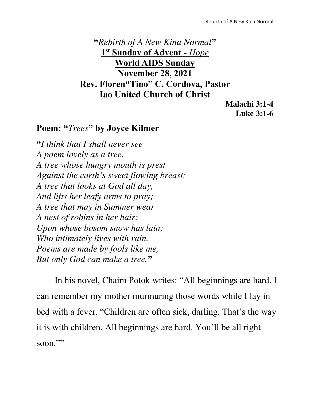**"***Rebirth of A New Kina Normal***" 1 st Sunday of Advent -** *Hope* **World AIDS Sunday November 28, 2021 Rev. Floren"Tino" C. Cordova, Pastor Iao United Church of Christ** 

> **Malachi 3:1-4 Luke 3:1-6**

## **Poem: "***Trees***" by Joyce Kilmer**

**"***I think that I shall never see A poem lovely as a tree. A tree whose hungry mouth is prest Against the earth's sweet flowing breast; A tree that looks at God all day, And lifts her leafy arms to pray; A tree that may in Summer wear A nest of robins in her hair; Upon whose bosom snow has lain; Who intimately lives with rain. Poems are made by fools like me, But only God can make a tree.***"**

In his novel, Chaim Potok writes: "All beginnings are hard. I can remember my mother murmuring those words while I lay in bed with a fever. "Children are often sick, darling. That's the way it is with children. All beginnings are hard. You'll be all right soon $\cdots$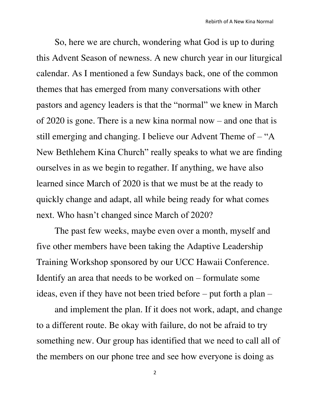So, here we are church, wondering what God is up to during this Advent Season of newness. A new church year in our liturgical calendar. As I mentioned a few Sundays back, one of the common themes that has emerged from many conversations with other pastors and agency leaders is that the "normal" we knew in March of 2020 is gone. There is a new kina normal now – and one that is still emerging and changing. I believe our Advent Theme of  $-$  "A New Bethlehem Kina Church" really speaks to what we are finding ourselves in as we begin to regather. If anything, we have also learned since March of 2020 is that we must be at the ready to quickly change and adapt, all while being ready for what comes next. Who hasn't changed since March of 2020?

The past few weeks, maybe even over a month, myself and five other members have been taking the Adaptive Leadership Training Workshop sponsored by our UCC Hawaii Conference. Identify an area that needs to be worked on – formulate some ideas, even if they have not been tried before – put forth a plan –

and implement the plan. If it does not work, adapt, and change to a different route. Be okay with failure, do not be afraid to try something new. Our group has identified that we need to call all of the members on our phone tree and see how everyone is doing as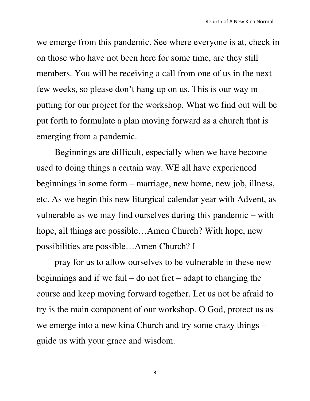we emerge from this pandemic. See where everyone is at, check in on those who have not been here for some time, are they still members. You will be receiving a call from one of us in the next few weeks, so please don't hang up on us. This is our way in putting for our project for the workshop. What we find out will be put forth to formulate a plan moving forward as a church that is emerging from a pandemic.

Beginnings are difficult, especially when we have become used to doing things a certain way. WE all have experienced beginnings in some form – marriage, new home, new job, illness, etc. As we begin this new liturgical calendar year with Advent, as vulnerable as we may find ourselves during this pandemic – with hope, all things are possible…Amen Church? With hope, new possibilities are possible…Amen Church? I

pray for us to allow ourselves to be vulnerable in these new beginnings and if we fail – do not fret – adapt to changing the course and keep moving forward together. Let us not be afraid to try is the main component of our workshop. O God, protect us as we emerge into a new kina Church and try some crazy things – guide us with your grace and wisdom.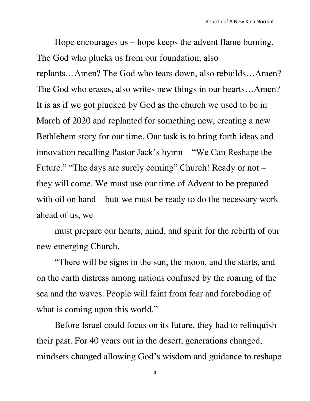Hope encourages us – hope keeps the advent flame burning. The God who plucks us from our foundation, also replants…Amen? The God who tears down, also rebuilds…Amen? The God who erases, also writes new things in our hearts…Amen? It is as if we got plucked by God as the church we used to be in March of 2020 and replanted for something new, creating a new Bethlehem story for our time. Our task is to bring forth ideas and innovation recalling Pastor Jack's hymn – "We Can Reshape the Future." "The days are surely coming" Church! Ready or not – they will come. We must use our time of Advent to be prepared with oil on hand – butt we must be ready to do the necessary work ahead of us, we

must prepare our hearts, mind, and spirit for the rebirth of our new emerging Church.

"There will be signs in the sun, the moon, and the starts, and on the earth distress among nations confused by the roaring of the sea and the waves. People will faint from fear and foreboding of what is coming upon this world."

Before Israel could focus on its future, they had to relinquish their past. For 40 years out in the desert, generations changed, mindsets changed allowing God's wisdom and guidance to reshape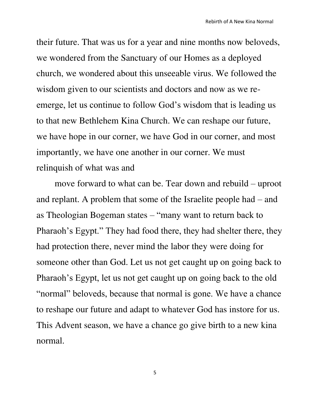their future. That was us for a year and nine months now beloveds, we wondered from the Sanctuary of our Homes as a deployed church, we wondered about this unseeable virus. We followed the wisdom given to our scientists and doctors and now as we reemerge, let us continue to follow God's wisdom that is leading us to that new Bethlehem Kina Church. We can reshape our future, we have hope in our corner, we have God in our corner, and most importantly, we have one another in our corner. We must relinquish of what was and

move forward to what can be. Tear down and rebuild – uproot and replant. A problem that some of the Israelite people had – and as Theologian Bogeman states – "many want to return back to Pharaoh's Egypt." They had food there, they had shelter there, they had protection there, never mind the labor they were doing for someone other than God. Let us not get caught up on going back to Pharaoh's Egypt, let us not get caught up on going back to the old "normal" beloveds, because that normal is gone. We have a chance to reshape our future and adapt to whatever God has instore for us. This Advent season, we have a chance go give birth to a new kina normal.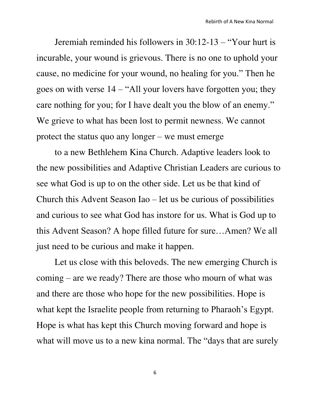Jeremiah reminded his followers in 30:12-13 – "Your hurt is incurable, your wound is grievous. There is no one to uphold your cause, no medicine for your wound, no healing for you." Then he goes on with verse 14 – "All your lovers have forgotten you; they care nothing for you; for I have dealt you the blow of an enemy." We grieve to what has been lost to permit newness. We cannot protect the status quo any longer – we must emerge

to a new Bethlehem Kina Church. Adaptive leaders look to the new possibilities and Adaptive Christian Leaders are curious to see what God is up to on the other side. Let us be that kind of Church this Advent Season Iao – let us be curious of possibilities and curious to see what God has instore for us. What is God up to this Advent Season? A hope filled future for sure…Amen? We all just need to be curious and make it happen.

Let us close with this beloveds. The new emerging Church is coming – are we ready? There are those who mourn of what was and there are those who hope for the new possibilities. Hope is what kept the Israelite people from returning to Pharaoh's Egypt. Hope is what has kept this Church moving forward and hope is what will move us to a new kina normal. The "days that are surely